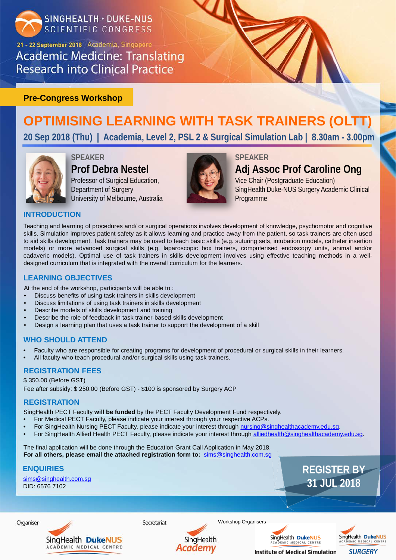

21 - 22 September 2018 Academia, Singapore **Academic Medicine: Translating Research into Clinical Practice** 

## **REGISTER BY 31 JUL 2018**

# **OPTIMISING LEARNING WITH TASK TRAINERS (OLTT)**

**20 Sep 2018 (Thu) | Academia, Level 2, PSL 2 & Surgical Simulation Lab | 8.30am - 3.00pm** 



## **Pre-Congress Workshop**

## **SPEAKER Prof Debra Nestel**

Professor of Surgical Education, Department of Surgery University of Melbourne, Australia



## **SPEAKER**

**Adj Assoc Prof Caroline Ong** Vice Chair (Postgraduate Education) SingHealth Duke-NUS Surgery Academic Clinical Programme

Teaching and learning of procedures and/ or surgical operations involves development of knowledge, psychomotor and cognitive skills. Simulation improves patient safety as it allows learning and practice away from the patient, so task trainers are often used to aid skills development. Task trainers may be used to teach basic skills (e.g. suturing sets, intubation models, catheter insertion models) or more advanced surgical skills (e.g. laparoscopic box trainers, computerised endoscopy units, animal and/or cadaveric models). Optimal use of task trainers in skills development involves using effective teaching methods in a welldesigned curriculum that is integrated with the overall curriculum for the learners.

- Faculty who are responsible for creating programs for development of procedural or surgical skills in their learners.
- All faculty who teach procedural and/or surgical skills using task trainers.

- For Medical PECT Faculty, please indicate your interest through your respective ACPs.
- For SingHealth Nursing PECT Faculty, please indicate your interest through [nursing@singhealthacademy.edu.sg](mailto:nursing@singhealthacademy.edu.sg).
- For SingHealth Allied Health PECT Faculty, please indicate your interest through [alliedhealth@singhealthacademy.edu.sg.](mailto:alliedhealth@singhealthacademy.edu.sg)

## **INTRODUCTION**

At the end of the workshop, participants will be able to :

- Discuss benefits of using task trainers in skills development
- Discuss limitations of using task trainers in skills development
- Describe models of skills development and training
- Describe the role of feedback in task trainer-based skills development
- Design a learning plan that uses a task trainer to support the development of a skill

## **LEARNING OBJECTIVES**

## **WHO SHOULD ATTEND**

## **REGISTRATION FEES**

\$ 350.00 (Before GST) Fee after subsidy: \$ 250.00 (Before GST) - \$100 is sponsored by Surgery ACP

## **REGISTRATION**

[sims@singhealth.com.sg](mailto:sims@singhealth.com.sg) DID: 6576 7102



SingHealth PECT Faculty **will be funded** by the PECT Faculty Development Fund respectively.

The final application will be done through the Education Grant Call Application in May 2018. **For all others, please email the attached registration form to:** [sims@singhealth.com.sg](mailto:sims.imse@singhealth.com.sg)

## **ENQUIRIES**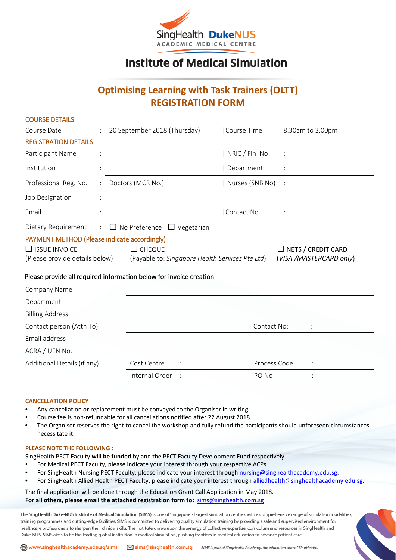

## **Institute of Medical Simulation**

### **Optimising Learning with Task Trainers (OLTT) REGISTRATION FORM**

| <b>COURSE DETAILS</b>                        |   |                                                                    |                 |                                |
|----------------------------------------------|---|--------------------------------------------------------------------|-----------------|--------------------------------|
| Course Date                                  | ÷ | 20 September 2018 (Thursday)                                       |                 | Course Time : 8.30am to 3.00pm |
| <b>REGISTRATION DETAILS</b>                  |   |                                                                    |                 |                                |
| Participant Name                             |   |                                                                    | NRIC / Fin No   | $\ddot{\phantom{1}}$           |
| Institution                                  |   |                                                                    | Department      |                                |
| Professional Reg. No.                        | ÷ | Doctors (MCR No.):                                                 | Nurses (SNB No) | $\ddot{\phantom{1}}$           |
| Job Designation                              |   |                                                                    |                 |                                |
| Email                                        |   |                                                                    | Contact No.     |                                |
| Dietary Requirement                          |   | $\Box$ No Preference $\Box$ Vegetarian                             |                 |                                |
| PAYMENT METHOD (Please indicate accordingly) |   |                                                                    |                 |                                |
| $\Box$ ISSUE INVOICE                         |   | $\Box$ Cheque                                                      |                 | $\Box$ NETS / CREDIT CARD      |
| (Please provide details below)               |   | (Payable to: Singapore Health Services Pte Ltd)                    |                 | (VISA /MASTERCARD only)        |
|                                              |   | Dlasse provide all required information below for invoice organism |                 |                                |

### Please provide all required information below for invoice creation

| Company Name                |    |                |              |              |         |  |
|-----------------------------|----|----------------|--------------|--------------|---------|--|
| Department                  |    |                |              |              |         |  |
| <b>Billing Address</b>      |    |                |              |              |         |  |
| Contact person (Attn To)    |    |                |              | Contact No:  |         |  |
| Email address               |    |                |              |              |         |  |
| ACRA / UEN No.              |    |                |              |              |         |  |
| Additional Details (if any) | ÷. | Cost Centre    | ÷            | Process Code | $\cdot$ |  |
|                             |    | Internal Order | $\mathbf{r}$ | PO No        |         |  |

### **CANCELLATION POLICY**

COURSE DETAILS

- Any cancellation or replacement must be conveyed to the Organiser in writing.
- Course fee is non-refundable for all cancellations notified after 22 August 2018.
- The Organiser reserves the right to cancel the workshop and fully refund the participants should unforeseen circumstances necessitate it.

#### **PLEASE NOTE THE FOLLOWING :**

SingHealth PECT Faculty **will be funded** by and the PECT Faculty Development Fund respectively.

- For Medical PECT Faculty, please indicate your interest through your respective ACPs.
- For SingHealth Nursing PECT Faculty, please indicate your interest through [nursing@singhealthacademy.edu.sg.](mailto:nursing@singhealthacademy.edu.sg)
- For SingHealth Allied Health PECT Faculty, please indicate your interest through [alliedhealth@singhealthacademy.edu.sg.](mailto:alliedhealth@singhealthacademy.edu.sg)

The final application will be done through the Education Grant Call Application in May 2018. **For all others, please email the attached registration form to:** [sims@singhealth.com.sg](mailto:sims@singhealth.com.sg)

The SingHealth Duke-NUS Institute of Medical Simulation (SIMS) is one of Singapore's largest simulation centres with a comprehensive range of simulation modalities, training programmes and cutting-edge facilities. SIMS is committed to delivering quality simulation training by providing a safe and supervised environment for healthcare professionals to sharpen their clinical skills. The institute draws upon the synergy of collective expertise, curriculum and resources in SingHealth and Duke-NUS. SIMS aims to be the leading global institution in medical simulation, pushing frontiers in medical education to advance patient care.